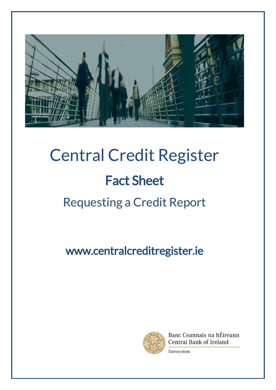

# Central Credit Register Fact Sheet Requesting a Credit Report

www.centralcreditregister.ie



Banc Ceannais na hÉireann Central Bank of Ireland

Eurosystem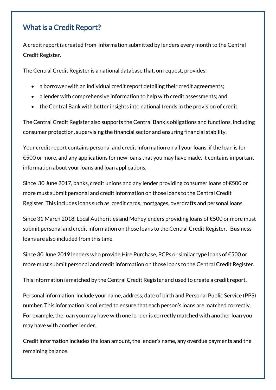#### What is a Credit Report?

A credit report is created from information submitted by lenders every month to the Central Credit Register.

The Central Credit Register is a national database that, on request, provides:

- a borrower with an individual credit report detailing their credit agreements;
- a lender with comprehensive information to help with credit assessments; and
- the Central Bank with better insights into national trends in the provision of credit.

The Central Credit Register also supports the Central Bank's obligations and functions, including consumer protection, supervising the financial sector and ensuring financial stability.

Your credit report contains personal and credit information on all your loans, if the loan is for €500 or more, and any applications for new loans that you may have made. It contains important information about your loans and loan applications.

Since 30 June 2017, banks, credit unions and any lender providing consumer loans of €500 or more must submit personal and credit information on those loans to the Central Credit Register. This includes loans such as credit cards, mortgages, overdrafts and personal loans.

Since 31 March 2018, Local Authorities and Moneylenders providing loans of €500 or more must submit personal and credit information on those loans to the Central Credit Register. Business loans are also included from this time.

Since 30 June 2019 lenders who provide Hire Purchase, PCPs or similar type loans of €500 or more must submit personal and credit information on those loans to the Central Credit Register.

This information is matched by the Central Credit Register and used to create a credit report.

Personal information include your name, address, date of birth and Personal Public Service (PPS) number. This information is collected to ensure that each person's loans are matched correctly. For example, the loan you may have with one lender is correctly matched with another loan you may have with another lender.

Credit information includes the loan amount, the lender's name, any overdue payments and the remaining balance.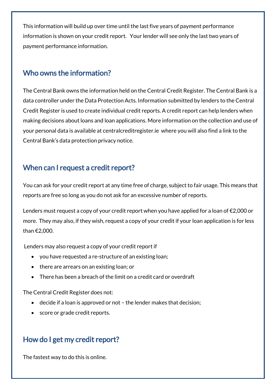This information will build up over time until the last five years of payment performance information is shown on your credit report. Your lender will see only the last two years of payment performance information.

#### Who owns the information?

The Central Bank owns the information held on the Central Credit Register. The Central Bank is a data controller under the Data Protection Acts. Information submitted by lenders to the Central Credit Register is used to create individual credit reports. A credit report can help lenders when making decisions about loans and loan applications. More information on the collection and use of your personal data is available at [centralcreditregister.ie](https://www.centralcreditregister.ie/borrower-area/data-protection) where you will also find a link to the Central Bank's data protection privacy notice.

## When can I request a credit report?

You can ask for your credit report at any time free of charge, subject to fair usage. This means that reports are free so long as you do not ask for an excessive number of reports.

Lenders must request a copy of your credit report when you have applied for a loan of €2,000 or more. They may also, if they wish, request a copy of your credit if your loan application is for less than €2,000.

Lenders may also request a copy of your credit report if

- you have requested a re-structure of an existing loan;
- there are arrears on an existing loan; or
- There has been a breach of the limit on a credit card or overdraft

The Central Credit Register does not:

- decide if a loan is approved or not the lender makes that decision;
- score or grade credit reports.

## How do I get my credit report?

The fastest way to do this is online.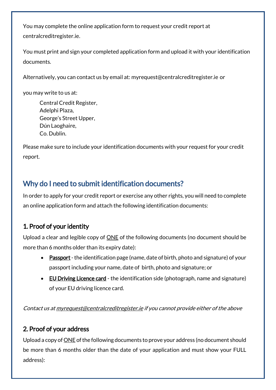You may complete the online application form to request your credit report at [centralcreditregister.ie.](http://www.centralcreditregister.ie/borrower-area/submit-a-request)

You must print and sign your completed application form and upload it with your identification documents.

Alternatively, you can contact us by email at[: myrequest@centralcreditregister.ie](mailto:myrequest@centralcreditregister.ie) or

you may write to us at:

Central Credit Register, Adelphi Plaza, George's Street Upper, Dún Laoghaire, Co. Dublin.

Please make sure to include your identification documents with your request for your credit report.

## Why do I need to submit identification documents?

In order to apply for your credit report or exercise any other rights, you will need to complete an online application form and attach the following identification documents:

#### 1. Proof of your identity

Upload a clear and legible copy of ONE of the following documents (no document should be more than 6 months older than its expiry date):

- Passport the identification page (name, date of birth, photo and signature) of your passport including your name, date of birth, photo and signature; or
- EU Driving Licence card the identification side (photograph, name and signature) of your EU driving licence card.

Contact us a[t myrequest@centralcreditregister.ie](mailto:myrequest@centralcreditregister.ie) if you cannot provide either of the above

#### 2. Proof of your address

Upload a copy of <u>ONE</u> of the following documents to prove your address (no document should be more than 6 months older than the date of your application and must show your FULL address):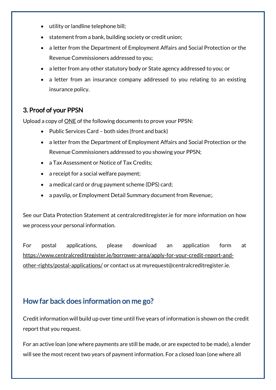- utility or landline telephone bill;
- statement from a bank, building society or credit union;
- a letter from the Department of Employment Affairs and Social Protection or the Revenue Commissioners addressed to you;
- a letter from any other statutory body or State agency addressed to you; or
- a letter from an insurance company addressed to you relating to an existing insurance policy.

#### 3. Proof of your PPSN

Upload a copy of ONE of the following documents to prove your PPSN:

- Public Services Card both sides (front and back)
- a letter from the Department of Employment Affairs and Social Protection or the Revenue Commissioners addressed to you showing your PPSN;
- a Tax Assessment or Notice of Tax Credits;
- a receipt for a social welfare payment;
- a medical card or drug payment scheme (DPS) card;
- a payslip, or Employment Detail Summary document from Revenue;.

See our Data Protection Statement at centralcreditregister.ie for more information on how we process your personal information.

For postal applications, please download an application form at [https://www.centralcreditregister.ie/borrower-area/apply-for-your-credit-report-and](https://www.centralcreditregister.ie/borrower-area/apply-for-your-credit-report-and-other-rights/postal-applications/)[other-rights/postal-applications/](https://www.centralcreditregister.ie/borrower-area/apply-for-your-credit-report-and-other-rights/postal-applications/) or contact us at myrequest@centralcreditregister.ie.

## How far back does information on me go?

Credit information will build up over time until five years of information is shown on the credit report that you request.

For an active loan (one where payments are still be made, or are expected to be made), a lender will see the most recent two years of payment information. For a closed loan (one where all